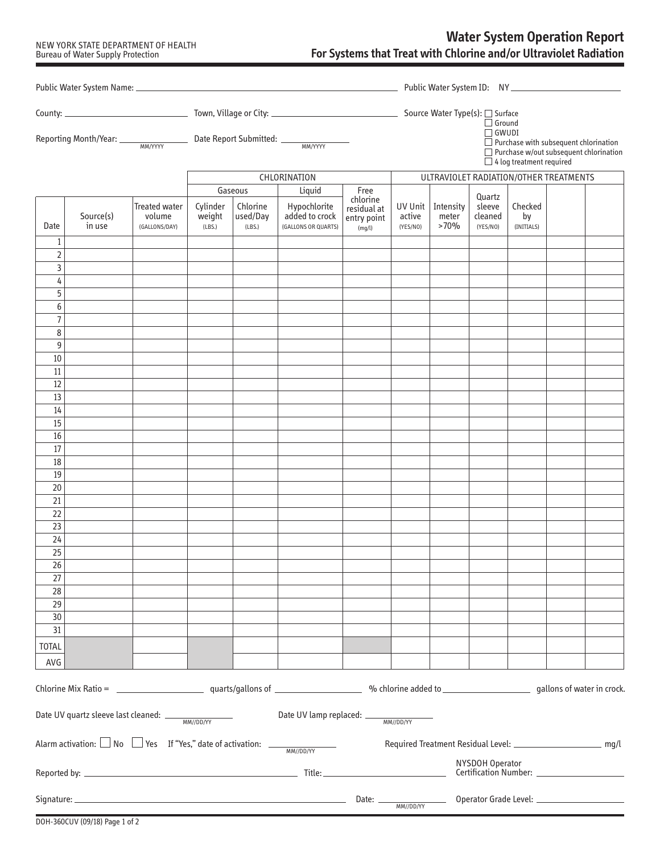## NEW YORK STATE DEPARTMENT OF HEALTH Bureau of Water Supply Protection

## **Water System Operation Report For Systems that Treat with Chlorine and/or Ultraviolet Radiation**

|                     |                                                                                       |                                                 |                              |                                |                                                       |                                      | $\Box$ Ground<br>$\Box$ GWUDI<br>$\Box$ Purchase with subsequent chlorination |                                                                    |                               |                                 |  |                                               |  |
|---------------------|---------------------------------------------------------------------------------------|-------------------------------------------------|------------------------------|--------------------------------|-------------------------------------------------------|--------------------------------------|-------------------------------------------------------------------------------|--------------------------------------------------------------------|-------------------------------|---------------------------------|--|-----------------------------------------------|--|
|                     |                                                                                       |                                                 |                              |                                |                                                       |                                      |                                                                               |                                                                    |                               | $\Box$ 4 log treatment required |  | $\Box$ Purchase w/out subsequent chlorination |  |
|                     |                                                                                       |                                                 | CHLORINATION                 |                                |                                                       |                                      | ULTRAVIOLET RADIATION/OTHER TREATMENTS                                        |                                                                    |                               |                                 |  |                                               |  |
|                     |                                                                                       |                                                 |                              | Gaseous                        | Liquid                                                | Free<br>chlorine                     |                                                                               |                                                                    | Quartz                        |                                 |  |                                               |  |
| Date                | Source(s)<br>in use                                                                   | <b>Treated water</b><br>volume<br>(GALLONS/DAY) | Cylinder<br>weight<br>(LBS.) | Chlorine<br>used/Day<br>(LBS.) | Hypochlorite<br>added to crock<br>(GALLONS OR QUARTS) | residual at<br>entry point<br>(mq/l) | active<br>(YES/NO)                                                            | UV Unit   Intensity<br>meter<br>>70%                               | sleeve<br>cleaned<br>(YES/NO) | Checked<br>by<br>(INITIALS)     |  |                                               |  |
| $\mathbf{1}$        |                                                                                       |                                                 |                              |                                |                                                       |                                      |                                                                               |                                                                    |                               |                                 |  |                                               |  |
| $\mathbf 2$<br>3    |                                                                                       |                                                 |                              |                                |                                                       |                                      |                                                                               |                                                                    |                               |                                 |  |                                               |  |
| 4                   |                                                                                       |                                                 |                              |                                |                                                       |                                      |                                                                               |                                                                    |                               |                                 |  |                                               |  |
| 5                   |                                                                                       |                                                 |                              |                                |                                                       |                                      |                                                                               |                                                                    |                               |                                 |  |                                               |  |
| 6                   |                                                                                       |                                                 |                              |                                |                                                       |                                      |                                                                               |                                                                    |                               |                                 |  |                                               |  |
| $\overline{7}$<br>8 |                                                                                       |                                                 |                              |                                |                                                       |                                      |                                                                               |                                                                    |                               |                                 |  |                                               |  |
| 9                   |                                                                                       |                                                 |                              |                                |                                                       |                                      |                                                                               |                                                                    |                               |                                 |  |                                               |  |
| 10                  |                                                                                       |                                                 |                              |                                |                                                       |                                      |                                                                               |                                                                    |                               |                                 |  |                                               |  |
| 11                  |                                                                                       |                                                 |                              |                                |                                                       |                                      |                                                                               |                                                                    |                               |                                 |  |                                               |  |
| $12\,$<br>13        |                                                                                       |                                                 |                              |                                |                                                       |                                      |                                                                               |                                                                    |                               |                                 |  |                                               |  |
| 14                  |                                                                                       |                                                 |                              |                                |                                                       |                                      |                                                                               |                                                                    |                               |                                 |  |                                               |  |
| 15                  |                                                                                       |                                                 |                              |                                |                                                       |                                      |                                                                               |                                                                    |                               |                                 |  |                                               |  |
| 16                  |                                                                                       |                                                 |                              |                                |                                                       |                                      |                                                                               |                                                                    |                               |                                 |  |                                               |  |
| 17<br>18            |                                                                                       |                                                 |                              |                                |                                                       |                                      |                                                                               |                                                                    |                               |                                 |  |                                               |  |
| 19                  |                                                                                       |                                                 |                              |                                |                                                       |                                      |                                                                               |                                                                    |                               |                                 |  |                                               |  |
| 20                  |                                                                                       |                                                 |                              |                                |                                                       |                                      |                                                                               |                                                                    |                               |                                 |  |                                               |  |
| 21                  |                                                                                       |                                                 |                              |                                |                                                       |                                      |                                                                               |                                                                    |                               |                                 |  |                                               |  |
| 22<br>23            |                                                                                       |                                                 |                              |                                |                                                       |                                      |                                                                               |                                                                    |                               |                                 |  |                                               |  |
| 24                  |                                                                                       |                                                 |                              |                                |                                                       |                                      |                                                                               |                                                                    |                               |                                 |  |                                               |  |
| 25                  |                                                                                       |                                                 |                              |                                |                                                       |                                      |                                                                               |                                                                    |                               |                                 |  |                                               |  |
| 26                  |                                                                                       |                                                 |                              |                                |                                                       |                                      |                                                                               |                                                                    |                               |                                 |  |                                               |  |
| 27<br>28            |                                                                                       |                                                 |                              |                                |                                                       |                                      |                                                                               |                                                                    |                               |                                 |  |                                               |  |
| 29                  |                                                                                       |                                                 |                              |                                |                                                       |                                      |                                                                               |                                                                    |                               |                                 |  |                                               |  |
| 30 <sup>°</sup>     |                                                                                       |                                                 |                              |                                |                                                       |                                      |                                                                               |                                                                    |                               |                                 |  |                                               |  |
| 31                  |                                                                                       |                                                 |                              |                                |                                                       |                                      |                                                                               |                                                                    |                               |                                 |  |                                               |  |
| <b>TOTAL</b>        |                                                                                       |                                                 |                              |                                |                                                       |                                      |                                                                               |                                                                    |                               |                                 |  |                                               |  |
| AVG                 |                                                                                       |                                                 |                              |                                |                                                       |                                      |                                                                               |                                                                    |                               |                                 |  |                                               |  |
|                     |                                                                                       |                                                 |                              |                                |                                                       |                                      |                                                                               |                                                                    |                               |                                 |  |                                               |  |
|                     |                                                                                       |                                                 |                              |                                | Date UV lamp replaced: __                             |                                      | MM//DD/YY                                                                     |                                                                    |                               |                                 |  |                                               |  |
|                     | Alarm activation: $\Box$ No $\Box$ Yes If "Yes," date of activation: $\Box$ MM//DD/YY |                                                 |                              |                                |                                                       |                                      |                                                                               | Required Treatment Residual Level: __________________________ mg/l |                               |                                 |  |                                               |  |
| NYSDOH Operator     |                                                                                       |                                                 |                              |                                |                                                       |                                      |                                                                               |                                                                    |                               |                                 |  |                                               |  |
|                     |                                                                                       |                                                 |                              |                                |                                                       | Date: $\_\_$                         | MM//DD/YY                                                                     |                                                                    |                               |                                 |  |                                               |  |